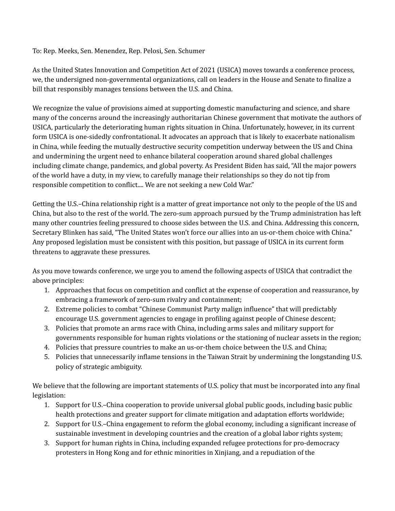To: Rep. Meeks, Sen. Menendez, Rep. Pelosi, Sen. Schumer

As the United States Innovation and Competition Act of 2021 (USICA) moves towards a conference process, we, the undersigned non-governmental organizations, call on leaders in the House and Senate to finalize a bill that responsibly manages tensions between the U.S. and China.

We recognize the value of provisions aimed at supporting domestic manufacturing and science, and share many of the concerns around the increasingly authoritarian Chinese government that motivate the authors of USICA, particularly the deteriorating human rights situation in China. Unfortunately, however, in its current form USICA is one-sidedly confrontational. It advocates an approach that is likely to exacerbate nationalism in China, while feeding the mutually destructive security competition underway between the US and China and undermining the urgent need to enhance bilateral cooperation around shared global challenges including climate change, pandemics, and global poverty. As President Biden has said, "All the major powers of the world have a duty, in my view, to carefully manage their relationships so they do not tip from responsible competition to conflict.... We are not seeking a new Cold War."

Getting the U.S.–China relationship right is a matter of great importance not only to the people of the US and China, but also to the rest of the world. The zero-sum approach pursued by the Trump administration has left many other countries feeling pressured to choose sides between the U.S. and China. Addressing this concern, Secretary Blinken has said, "The United States won't force our allies into an us-or-them choice with China." Any proposed legislation must be consistent with this position, but passage of USICA in its current form threatens to aggravate these pressures.

As you move towards conference, we urge you to amend the following aspects of USICA that contradict the above principles:

- 1. Approaches that focus on competition and conflict at the expense of cooperation and reassurance, by embracing a framework of zero-sum rivalry and containment;
- 2. Extreme policies to combat "Chinese Communist Party malign influence" that will predictably encourage U.S. government agencies to engage in profiling against people of Chinese descent;
- 3. Policies that promote an arms race with China, including arms sales and military support for governments responsible for human rights violations or the stationing of nuclear assets in the region;
- 4. Policies that pressure countries to make an us-or-them choice between the U.S. and China;
- 5. Policies that unnecessarily inflame tensions in the Taiwan Strait by undermining the longstanding U.S. policy of strategic ambiguity.

We believe that the following are important statements of U.S. policy that must be incorporated into any final legislation:

- 1. Support for U.S.–China cooperation to provide universal global public goods, including basic public health protections and greater support for climate mitigation and adaptation efforts worldwide;
- 2. Support for U.S.–China engagement to reform the global economy, including a significant increase of sustainable investment in developing countries and the creation of a global labor rights system;
- 3. Support for human rights in China, including expanded refugee protections for pro-democracy protesters in Hong Kong and for ethnic minorities in Xinjiang, and a repudiation of the